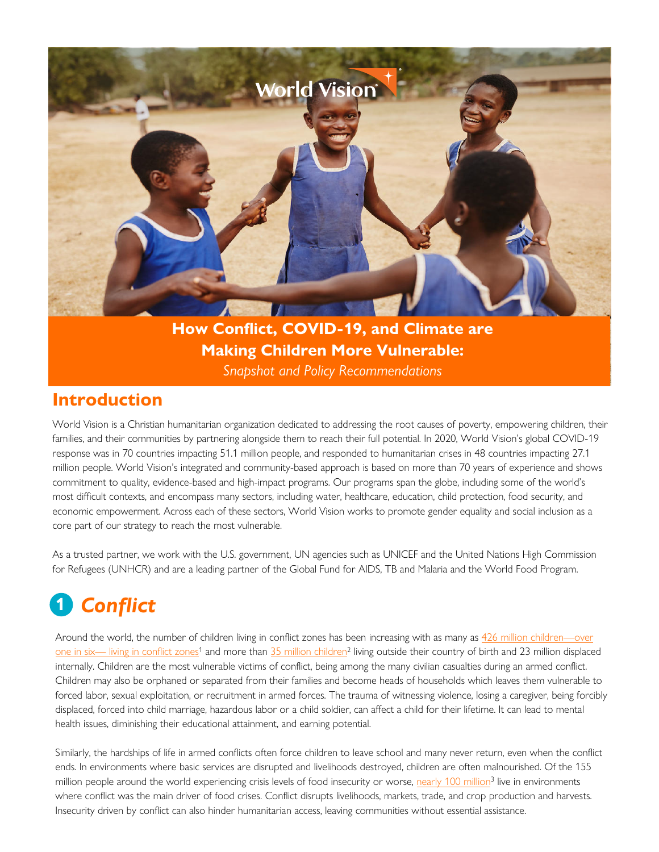

**How Conflict, COVID-19, and Climate are Making Children More Vulnerable:** *Snapshot and Policy Recommendations*

### **Introduction**

World Vision is a Christian humanitarian organization dedicated to addressing the root causes of poverty, empowering children, their families, and their communities by partnering alongside them to reach their full potential. In 2020, World Vision's global COVID-19 response was in 70 countries impacting 51.1 million people, and responded to humanitarian crises in 48 countries impacting 27.1 million people. World Vision's integrated and community-based approach is based on more than 70 years of experience and shows commitment to quality, evidence-based and high-impact programs. Our programs span the globe, including some of the world's most difficult contexts, and encompass many sectors, including water, healthcare, education, child protection, food security, and economic empowerment. Across each of these sectors, World Vision works to promote gender equality and social inclusion as a core part of our strategy to reach the most vulnerable.

As a trusted partner, we work with the U.S. government, UN agencies such as UNICEF and the United Nations High Commission for Refugees (UNHCR) and are a leading partner of the Global Fund for AIDS, TB and Malaria and the World Food Program.

# **1** *Conflict*

Around the world, the number of children living in conflict zones has been increasing with as many as 426 million children—over [one in six— living in conflict zones](https://reliefweb.int/report/world/children-affected-armed-conflict-1990-2019)<sup>1</sup> and more than [35 million children](https://news.un.org/en/story/2021/08/1098612)<sup>2</sup> living outside their country of birth and 23 million displaced internally. Children are the most vulnerable victims of conflict, being among the many civilian casualties during an armed conflict. Children may also be orphaned or separated from their families and become heads of households which leaves them vulnerable to forced labor, sexual exploitation, or recruitment in armed forces. The trauma of witnessing violence, losing a caregiver, being forcibly displaced, forced into child marriage, hazardous labor or a child soldier, can affect a child for their lifetime. It can lead to mental health issues, diminishing their educational attainment, and earning potential.

Similarly, the hardships of life in armed conflicts often force children to leave school and many never return, even when the conflict ends. In environments where basic services are disrupted and livelihoods destroyed, children are often malnourished. Of the 155 million people around the world experiencing crisis levels of food insecurity or worse, nearly [100 million](https://docs.wfp.org/api/documents/WFP-0000127343/download/?_ga=2.174232162.1315345602.1624185147-659202006.1615888715)<sup>3</sup> live in environments where conflict was the main driver of food crises. Conflict disrupts livelihoods, markets, trade, and crop production and harvests. Insecurity driven by conflict can also hinder humanitarian access, leaving communities without essential assistance.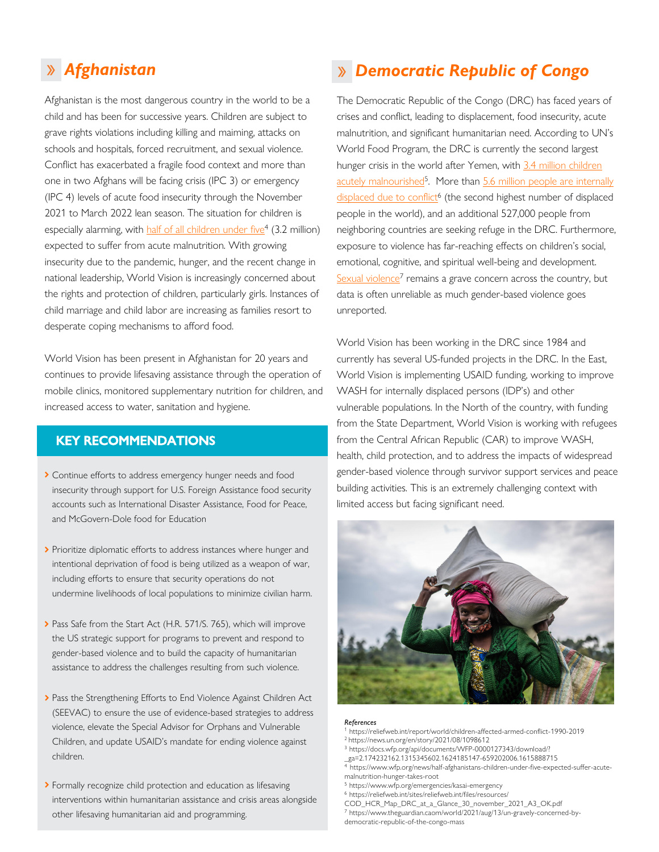Afghanistan is the most dangerous country in the world to be a child and has been for successive years. Children are subject to grave rights violations including killing and maiming, attacks on schools and hospitals, forced recruitment, and sexual violence. Conflict has exacerbated a fragile food context and more than one in two Afghans will be facing crisis (IPC 3) or emergency (IPC 4) levels of acute food insecurity through the November 2021 to March 2022 lean season. The situation for children is especially alarming, with [half of all children under five](https://www.wfp.org/news/half-afghanistans-children-under-five-expected-suffer-acute-malnutrition-hunger-takes-root)<sup>4</sup> (3.2 million) expected to suffer from acute malnutrition. With growing insecurity due to the pandemic, hunger, and the recent change in national leadership, World Vision is increasingly concerned about the rights and protection of children, particularly girls. Instances of child marriage and child labor are increasing as families resort to desperate coping mechanisms to afford food.

World Vision has been present in Afghanistan for 20 years and continues to provide lifesaving assistance through the operation of mobile clinics, monitored supplementary nutrition for children, and increased access to water, sanitation and hygiene.

### **KEY RECOMMENDATIONS**

- > Continue efforts to address emergency hunger needs and food insecurity through support for U.S. Foreign Assistance food security accounts such as International Disaster Assistance, Food for Peace, and McGovern-Dole food for Education
- > Prioritize diplomatic efforts to address instances where hunger and intentional deprivation of food is being utilized as a weapon of war, including efforts to ensure that security operations do not undermine livelihoods of local populations to minimize civilian harm.
- Pass Safe from the Start Act [\(H.R. 571/](https://www.congress.gov/bill/117th-congress/house-bill/571/text?q=%7B%22search%22%3A%5B%22HR+571%22%5D%7D&r=1&s=1)[S. 765](https://www.congress.gov/bill/117th-congress/senate-bill/765/text?r=7&s=1)), which will improve the US strategic support for programs to prevent and respond to gender-based violence and to build the capacity of humanitarian assistance to address the challenges resulting from such violence.
- > Pass the Strengthening Efforts to End Violence Against Children Act (SEEVAC) to ensure the use of evidence-based strategies to address violence, elevate the Special Advisor for Orphans and Vulnerable Children, and update USAID's mandate for ending violence against children.
- > Formally recognize child protection and education as lifesaving interventions within humanitarian assistance and crisis areas alongside other lifesaving humanitarian aid and programming.

### *Afghanistan Democratic Republic of Congo*

The Democratic Republic of the Congo (DRC) has faced years of crises and conflict, leading to displacement, food insecurity, acute malnutrition, and significant humanitarian need. According to UN's World Food Program, the DRC is currently the second largest hunger crisis in the world after Yemen, with 3.4 million children acutely malnourished<sup>5</sup>. More than [5.6 million people are internally](https://reliefweb.int/sites/reliefweb.int/files/resources/COD_HCR_Map_DRC_at_a_Glance_30_november_2021_A3_OK.pdf) displaced due to conflict<sup>6</sup> (the second highest number of displaced people in the world), and an additional 527,000 people from neighboring countries are seeking refuge in the DRC. Furthermore, exposure to violence has far-reaching effects on children's social, emotional, cognitive, and spiritual well-being and development. [Sexual violence](https://www.theguardian.com/world/2021/aug/13/un-gravely-concerned-by-democratic-republic-of-the-congo-mass)<sup>7</sup> remains a grave concern across the country, but data is often unreliable as much gender-based violence goes unreported.

World Vision has been working in the DRC since 1984 and currently has several US-funded projects in the DRC. In the East, World Vision is implementing USAID funding, working to improve WASH for internally displaced persons (IDP's) and other vulnerable populations. In the North of the country, with funding from the State Department, World Vision is working with refugees from the Central African Republic (CAR) to improve WASH, health, child protection, and to address the impacts of widespread gender-based violence through survivor support services and peace building activities. This is an extremely challenging context with limited access but facing significant need.



#### *References*

- 1 https://reliefweb.int/report/world/children-affected-armed-conflict-1990-2019 <sup>2</sup>https://news.un.org/en/story/2021/08/1098612
- <sup>3</sup> https://docs.wfp.org/api/documents/WFP-0000127343/download/?
- \_ga=2.174232162.1315345602.1624185147-659202006.1615888715
- 4 https://www.wfp.org/news/half-afghanistans-children-under-five-expected-suffer-acutemalnutrition-hunger-takes-root
- 5 https://www.wfp.org/emergencies/kasai-emergency
- 
- 6 https://reliefweb.int/sites/reliefweb.int/files/resources/
- COD\_HCR\_Map\_DRC\_at\_a\_Glance\_30\_november\_2021\_A3\_OK.pdf
- 7 https://www.theguardian.caom/world/2021/aug/13/un-gravely-concerned-bydemocratic-republic-of-the-congo-mass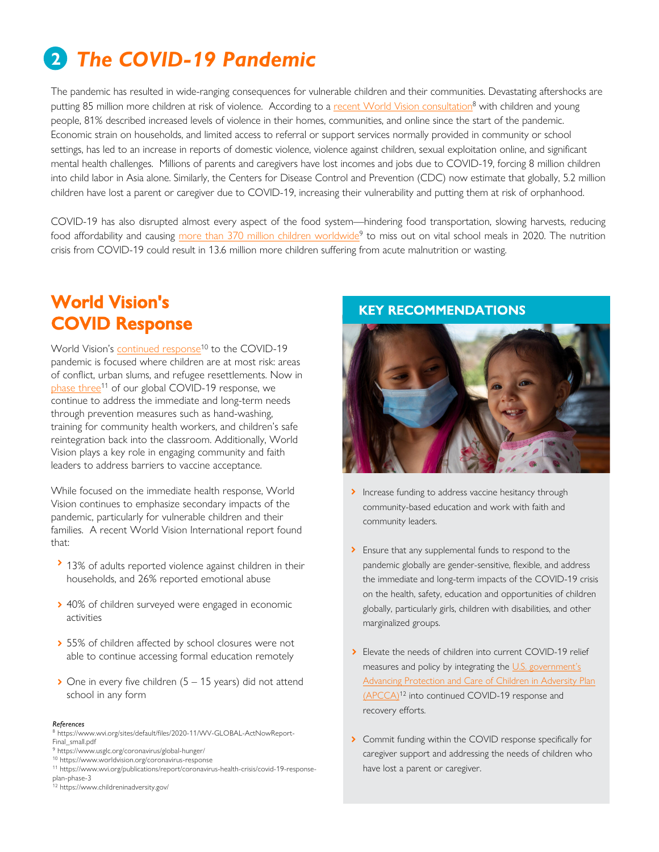## **2** *The COVID-19 Pandemic*

The pandemic has resulted in wide-ranging consequences for vulnerable children and their communities. Devastating aftershocks are putting 85 million more children at risk of violence. According to a <u>recent [World Vision consultation](https://www.wvi.org/sites/default/files/2020-11/WV-GLOBAL-ActNowReport-Final_small.pdf)</u><sup>8</sup> with children and young people, 81% described increased levels of violence in their homes, communities, and online since the start of the pandemic. Economic strain on households, and limited access to referral or support services normally provided in community or school settings, has led to an increase in reports of domestic violence, violence against children, sexual exploitation online, and significant mental health challenges. Millions of parents and caregivers have lost incomes and jobs due to COVID-19, forcing 8 million children into child labor in Asia alone. Similarly, the Centers for Disease Control and Prevention (CDC) now estimate that globally, 5.2 million children have lost a parent or caregiver due to COVID-19, increasing their vulnerability and putting them at risk of orphanhood.

COVID-19 has also disrupted almost every aspect of the food system—hindering food transportation, slowing harvests, reducing food affordability and causing <u>more than [370 million children worldwide](https://www.usglc.org/coronavirus/global-hunger/)</u><sup>9</sup> to miss out on vital school meals in 2020. The nutrition crisis from COVID-19 could result in 13.6 million more children suffering from acute malnutrition or wasting.

## **World Vision's COVID Response**

World [Vision's continued response](https://www.worldvision.org/coronavirus-response)<sup>10</sup> to the COVID-19 pandemic is focused where children are at most risk: areas of conflict, urban slums, and refugee resettlements. Now in [phase](https://www.wvi.org/publications/report/coronavirus-health-crisis/covid-19-response-plan-phase-3) three<sup>11</sup> of our global COVID-19 response, we continue to address the immediate and long-term needs through prevention measures such as hand-washing, training for community health workers, and children's safe reintegration back into the classroom. Additionally, World Vision plays a key role in engaging community and faith leaders to address barriers to vaccine acceptance.

While focused on the immediate health response, World Vision continues to emphasize secondary impacts of the pandemic, particularly for vulnerable children and their families. A recent World Vision International report found that:

- > 13% of adults reported violence against children in their households, and 26% reported emotional abuse
- ◆ 40% of children surveyed were engaged in economic activities
- > 55% of children affected by school closures were not able to continue accessing formal education remotely
- $\geq$  One in every five children (5 15 years) did not attend school in any form

#### *References*

<sup>8</sup> https://www.wvi.org/sites/default/files/2020-11/WV-GLOBAL-ActNowReport-Final\_small.pdf

- 9 https://www.usglc.org/coronavirus/global-hunger/
- 10 https://www.worldvision.org/coronavirus-response
- 11 https://www.wvi.org/publications/report/coronavirus-health-crisis/covid-19-responseplan-phase-3<br><sup>12</sup> https://www.childreninadversity.gov/
- 

#### **KEY RECOMMENDATIONS**



- Increase funding to address vaccine hesitancy through community-based education and work with faith and community leaders.
- **>** Ensure that any supplemental funds to respond to the pandemic globally are gender-sensitive, flexible, and address the immediate and long-term impacts of the COVID-19 crisis on the health, safety, education and opportunities of children globally, particularly girls, children with disabilities, and other marginalized groups.
- > Elevate the needs of children into current COVID-19 relief measures and policy by integrating the U.S. government's [Advancing Protection and Care of Children in Adversity Plan](https://www.childreninadversity.gov/)  (APCCA)<sup>12</sup> into continued COVID-19 response and recovery efforts.
- > Commit funding within the COVID response specifically for caregiver support and addressing the needs of children who have lost a parent or caregiver.